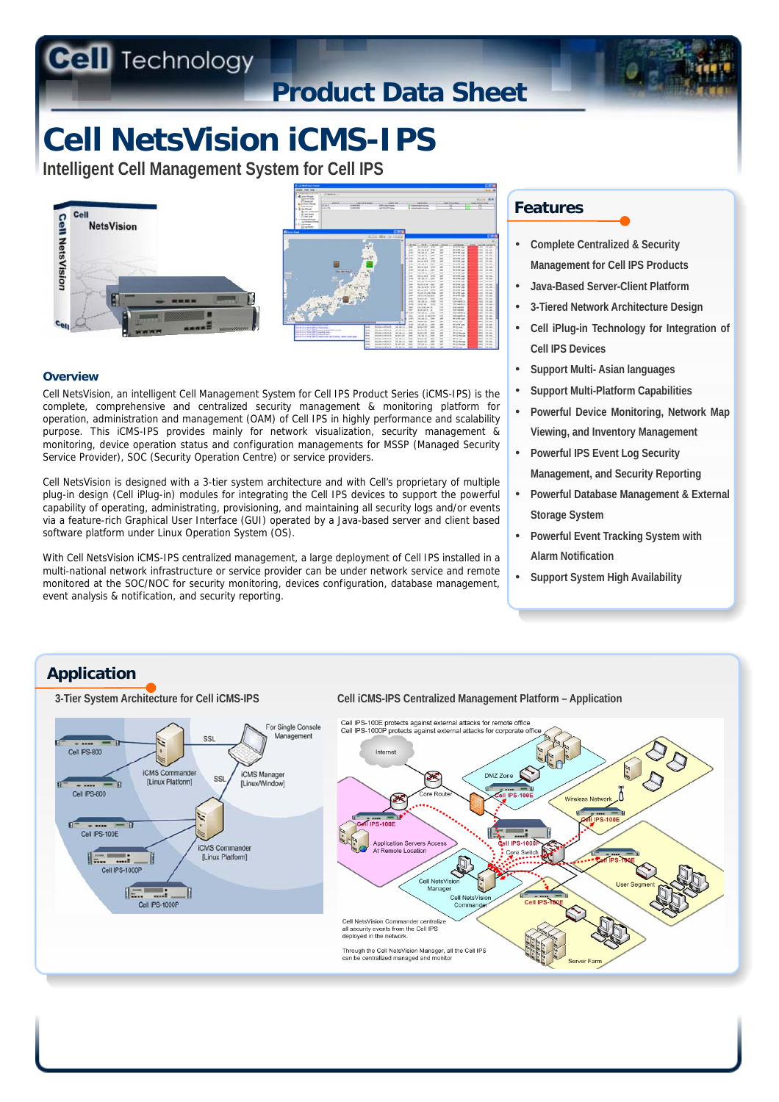**Technology** 

## **Product Data Sheet**

# **Cell NetsVision iCMS-IPS**

**Intelligent Cell Management System for Cell IPS**





#### **Overview**

Cell NetsVision, an intelligent Cell Management System for Cell IPS Product Series (iCMS-IPS) is the complete, comprehensive and centralized security management & monitoring platform for operation, administration and management (OAM) of Cell IPS in highly performance and scalability purpose. This iCMS-IPS provides mainly for network visualization, security management & monitoring, device operation status and configuration managements for MSSP (Managed Security Service Provider), SOC (Security Operation Centre) or service providers.

Cell NetsVision is designed with a 3-tier system architecture and with Cell's proprietary of multiple plug-in design (Cell iPlug-in) modules for integrating the Cell IPS devices to support the powerful capability of operating, administrating, provisioning, and maintaining all security logs and/or events via a feature-rich Graphical User Interface (GUI) operated by a Java-based server and client based software platform under Linux Operation System (OS).

With Cell NetsVision iCMS-IPS centralized management, a large deployment of Cell IPS installed in a multi-national network infrastructure or service provider can be under network service and remote monitored at the SOC/NOC for security monitoring, devices configuration, database management, event analysis & notification, and security reporting.

### **Features**

- **Complete Centralized & Security Management for Cell IPS Products**
- **Java-Based Server-Client Platform**
- **3-Tiered Network Architecture Design**
- **Cell iPlug-in Technology for Integration of Cell IPS Devices**
- **Support Multi- Asian languages**
- **Support Multi-Platform Capabilities**
- **Powerful Device Monitoring, Network Map Viewing, and Inventory Management**
- **Powerful IPS Event Log Security Management, and Security Reporting**
- **Powerful Database Management & External Storage System**
- **Powerful Event Tracking System with Alarm Notification**
- **Support System High Availability**

## **Application**



**3-Tier System Architecture for Cell iCMS-IPS Cell iCMS-IPS Centralized Management Platform – Application**